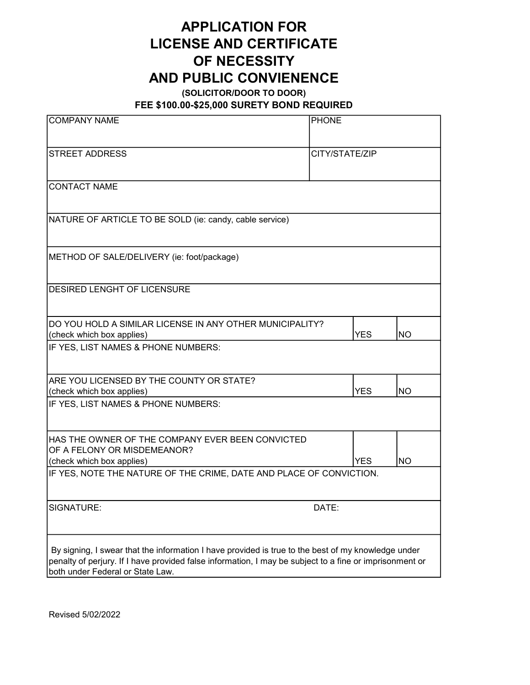## APPLICATION FOR LICENSE AND CERTIFICATE OF NECESSITY AND PUBLIC CONVIENENCE

(SOLICITOR/DOOR TO DOOR)

FEE \$100.00-\$25,000 SURETY BOND REQUIRED

| <b>COMPANY NAME</b>                                                                                                                                                                                                                               | <b>PHONE</b> |                |           |
|---------------------------------------------------------------------------------------------------------------------------------------------------------------------------------------------------------------------------------------------------|--------------|----------------|-----------|
|                                                                                                                                                                                                                                                   |              |                |           |
| <b>STREET ADDRESS</b>                                                                                                                                                                                                                             |              | CITY/STATE/ZIP |           |
| <b>CONTACT NAME</b>                                                                                                                                                                                                                               |              |                |           |
| NATURE OF ARTICLE TO BE SOLD (ie: candy, cable service)                                                                                                                                                                                           |              |                |           |
| METHOD OF SALE/DELIVERY (ie: foot/package)                                                                                                                                                                                                        |              |                |           |
| <b>DESIRED LENGHT OF LICENSURE</b>                                                                                                                                                                                                                |              |                |           |
| DO YOU HOLD A SIMILAR LICENSE IN ANY OTHER MUNICIPALITY?<br>(check which box applies)                                                                                                                                                             |              | <b>YES</b>     | NO        |
| IF YES, LIST NAMES & PHONE NUMBERS:                                                                                                                                                                                                               |              |                |           |
| ARE YOU LICENSED BY THE COUNTY OR STATE?<br>(check which box applies)                                                                                                                                                                             |              | <b>YES</b>     | NO        |
| IF YES, LIST NAMES & PHONE NUMBERS:                                                                                                                                                                                                               |              |                |           |
| HAS THE OWNER OF THE COMPANY EVER BEEN CONVICTED<br>OF A FELONY OR MISDEMEANOR?                                                                                                                                                                   |              |                |           |
| (check which box applies)<br>IF YES, NOTE THE NATURE OF THE CRIME, DATE AND PLACE OF CONVICTION.                                                                                                                                                  |              | YES.           | <b>NO</b> |
|                                                                                                                                                                                                                                                   |              |                |           |
| SIGNATURE:                                                                                                                                                                                                                                        | DATE:        |                |           |
| By signing, I swear that the information I have provided is true to the best of my knowledge under<br>penalty of perjury. If I have provided false information, I may be subject to a fine or imprisonment or<br>both under Federal or State Law. |              |                |           |

Revised 5/02/2022